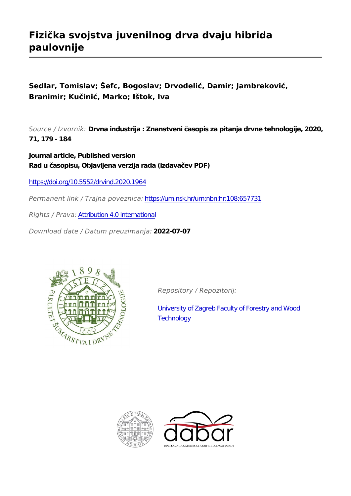# **Fizička svojstva juvenilnog drva dvaju hibrida paulovnije**

**Sedlar, Tomislav; Šefc, Bogoslav; Drvodelić, Damir; Jambreković, Branimir; Kučinić, Marko; Ištok, Iva**

*Source / Izvornik:* **Drvna industrija : Znanstveni časopis za pitanja drvne tehnologije, 2020, 71, 179 - 184**

**Journal article, Published version Rad u časopisu, Objavljena verzija rada (izdavačev PDF)**

<https://doi.org/10.5552/drvind.2020.1964>

*Permanent link / Trajna poveznica:* <https://urn.nsk.hr/urn:nbn:hr:108:657731>

*Rights / Prava:* [Attribution 4.0 International](http://creativecommons.org/licenses/by/4.0/)

*Download date / Datum preuzimanja:* **2022-07-07**



*Repository / Repozitorij:*

[University of Zagreb Faculty of Forestry and Wood](https://repozitorij.sumfak.unizg.hr) **[Technology](https://repozitorij.sumfak.unizg.hr)** 



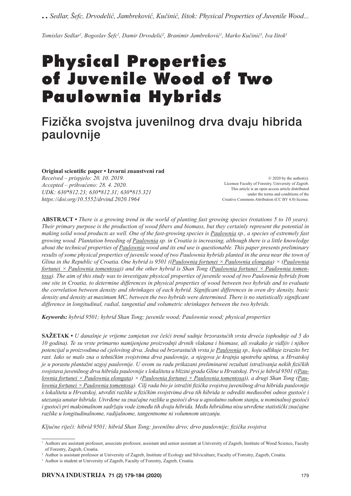*..Sedlar, Šefc, Drvodelić, Jambreković, Kučinić, Ištok: Physical Properties of Juvenile Wood...*

*Tomislav Sedlar1 , Bogoslav Šefc1 , Damir Drvodelić<sup>2</sup> , Branimir Jambreković<sup>1</sup> , Marko Kučinić<sup>3</sup> , Iva Ištok1*

# Physical Properties of Juvenile Wood of Two Paulownia Hybrids

# Fizička svojstva juvenilnog drva dvaju hibrida paulovnije

**Original scientifi c paper • Izvorni znanstveni rad**

*Received – prispjelo: 20. 10. 2019. Accepted – prihvaćeno: 28. 4. 2020. UDK: 630\*812.23; 630\*812.31; 630\*815.321 https:// doi.org/10.5552/drvind.2020.1964*

© 2020 by the author(s). Licensee Faculty of Forestry, University of Zagreb. This article is an open access article distributed under the terms and conditions of the Creative Commons Attribution (CC BY 4.0) license.

**ABSTRACT •** *There is a growing trend in the world of planting fast growing species (rotations 5 to 10 years). Their primary purpose is the production of wood fibers and biomass, but they certainly represent the potential in making solid wood products as well. One of the fast-growing species is Paulownia sp., a species of extremely fast growing wood. Plantation breeding of Paulownia sp. in Croatia is increasing, although there is a little knowledge about the technical properties of Paulownia wood and its end use is questionable. This paper presents preliminary results of some physical properties of juvenile wood of two Paulownia hybrids planted in the area near the town of Glina in the Republic of Croatia. One hybrid is 9501 ((Paulownia fortunei × Paulownia elongata) × (Paulownia fortunei × Paulownia tomentosa)) and the other hybrid is Shan Tong (Paulownia fortunei × Paulownia tomentosa). The aim of this study was to investigate physical properties of juvenile wood of two Paulownia hybrids from one site in Croatia, to determine differences in physical properties of wood between two hybrids and to evaluate the correlation between density and shrinkages of each hybrid. Significant differences in oven dry density, basic density and density at maximum MC, between the two hybrids were determined. There is no statistically significant difference in longitudinal, radial, tangential and volumetric shrinkages between the two hybrids.*

*Keywords: hybrid 9501; hybrid Shan Tong; juvenile wood; Paulownia wood; physical properties*

**SAŽETAK •** *U današnje je vrijeme zamjetan sve češći trend sadnje brzorastućih vrsta drveća (ophodnje od 5 do 10 godina). Te su vrste primarno namijenjene proizvodnji drvnih vlakana i biomase, ali svakako je vidljiv i njihov potencijal u proizvodima od cjelovitog drva. Jedna od brzorastućih vrsta je Paulownia sp., koju odlikuje izrazito brz rast. Iako se malo zna o tehničkim svojstvima drva paulovnije, a njegova je krajnja upotreba upitna, u Hrvatskoj je u porastu plantažni uzgoj paulovnije. U ovom su radu prikazani preliminarni rezultati istraživanja nekih fi zičkih svojstava juvenilnog drva hibrida paulovnije s lokaliteta u blizini grada Gline u Hrvatskoj. Prvi je hibrid 9501 ((Paulownia fortunei × Paulownia elongata) × (Paulownia fortunei × Paulownia tomentosa)), a drugi Shan Tong (Paulownia fortunei × Paulownia tomentosa). Cilj rada bio je istražiti fi zička svojstva juvenilnog drva hibrida paulovnije s lokaliteta u Hrvatskoj, utvrditi razlike u fi zičkim svojstvima drva tih hibrida te odrediti međusobni odnos gustoće i utezanja unutar hibrida. Utvrđene su značajne razlike u gustoći drva u apsolutno suhom stanju, u nominalnoj gustoći i gustoći pri maksimalnom sadržaju vode između tih dvaju hibrida. Među hibridima nisu utvrđene statistički značajne razlike u longitudinalnome, radijalnome, tangentnome ni volumnom utezanju.*

*Ključne riječi: hibrid 9501; hibrid Shan Tong; juvenilno drvo; drvo paulovnije; fi zička svojstva*

<sup>1</sup> Authors are assistant professor, associate professor, assistant and senior assistant at University of Zagreb, Institute of Wood Science, Faculty of Forestry, Zagreb, Croatia.

<sup>2</sup> Author is assistant professor at University of Zagreb, Institute of Ecology and Silviculture, Faculty of Forestry, Zagreb, Croatia.

<sup>&</sup>lt;sup>3</sup> Author is student at University of Zagreb, Faculty of Forestry, Zagreb, Croatia.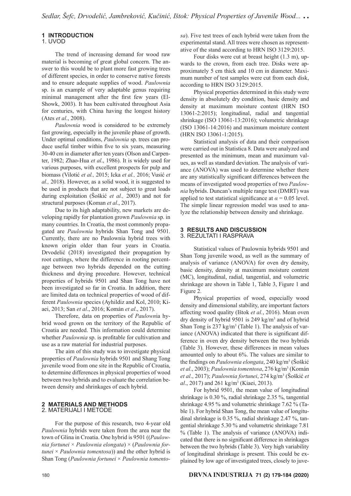## **1 INTRODUCTION**

### 1. UVOD

The trend of increasing demand for wood raw material is becoming of great global concern. The answer to this would be to plant more fast growing trees of different species, in order to conserve native forests and to ensure adequate supplies of wood. *Paulownia* sp. is an example of very adaptable genus requiring minimal management after the first few years (El-Showk, 2003). It has been cultivated throughout Asia for centuries, with China having the longest history (Ates *et al*., 2008).

*Paulownia* wood is considered to be extremely fast growing, especially in the juvenile phase of growth. Under optimal conditions, *Paulownia* sp. trees can produce useful timber within five to six years, measuring 30-40 cm in diameter after ten years (Olson and Carpenter, 1982; Zhao-Hua *et al*., 1986). It is widely used for various purposes, with excellent prospects for pulp and biomass (Vilotić *et al.,* 2015; Icka *et al.,* 2016; Vusić *et al.,* 2018). However, as a solid wood, it is suggested to be used in products that are not subject to great loads during exploitation (Šoškić *et al.,* 2003) and not for structural purposes (Koman *et al*., 2017).

Due to its high adaptability, new markets are developing rapidly for plantation grown *Paulownia* sp. in many countries. In Croatia, the most commonly propagated are *Paulownia* hybrids Shan Tong and 9501. Currently, there are no Paulownia hybrid trees with known origin older than four years in Croatia. Drvodelić (2018) investigated their propagation by root cuttings, where the difference in rooting percentage between two hybrids depended on the cutting thickness and drying procedure. However, technical properties of hybrids 9501 and Shan Tong have not been investigated so far in Croatia. In addition, there are limited data on technical properties of wood of different *Paulownia* species (Ayhildiz and Kol, 2010; Kiaei, 2013; San *et al*., 2016; Komán *et al*., 2017).

Therefore, data on properties of *Paulown*ia hybrid wood grown on the territory of the Republic of Croatia are needed. This information could determine whether *Paulownia* sp. is profitable for cultivation and use as a raw material for industrial purposes.

 The aim of this study was to investigate physical properties of *Paulownia* hybrids 9501 and Shang Tong juvenile wood from one site in the Republic of Croatia, to determine differences in physical properties of wood between two hybrids and to evaluate the correlation between density and shrinkages of each hybrid.

#### **2 MATERIALS AND METHODS** 2. MATERIJALI I METODE

For the purpose of this research, two 4-year old *Paulownia* hybrids were taken from the area near the town of Glina in Croatia. One hybrid is 9501 ((*Paulownia fortunei* × *Paulownia elongata*) × (*Paulownia fortunei* × *Paulownia tomentosa*)) and the other hybrid is Shan Tong (*Paulownia fortunei* × *Paulownia tomento-* *sa*). Five test trees of each hybrid were taken from the experimental stand. All trees were chosen as representative of the stand according to HRN ISO 3129:2015.

Four disks were cut at breast height (1.3 m), upwards to the crown, from each tree. Disks were approximately 5 cm thick and 10 cm in diameter. Maximum number of test samples were cut from each disk, according to HRN ISO 3129:2015.

Physical properties determined in this study were density in absolutely dry condition, basic density and density at maximum moisture content (HRN ISO 13061-2:2015); longitudinal, radial and tangential shrinkage (ISO 13061-13:2016); volumetric shrinkage (ISO 13061-14:2016) and maximum moisture content (HRN ISO 13061-1:2015).

Statistical analysis of data and their comparison were carried out in Statistica 8. Data were analyzed and presented as the minimum, mean and maximum values, as well as standard deviation. The analysis of variance (ANOVA) was used to determine whether there are any statistically significant differences between the means of investigated wood properties of two *Paulownia* hybrids. Duncan's multiple range test (DMRT) was applied to test statistical significance at  $\alpha$  = 0.05 level. The simple linear regression model was used to analyze the relationship between density and shrinkage.

#### **3 RESULTS AND DISCUSSION** 3. REZULTATI I RASPRAVA

Statistical values of Paulownia hybrids 9501 and Shan Tong juvenile wood, as well as the summary of analysis of variance (ANOVA) for oven dry density, basic density, density at maximum moisture content (MC), longitudinal, radial, tangential, and volumetric shrinkage are shown in Table 1, Table 3, Figure 1 and Figure 2.

Physical properties of wood, especially wood density and dimensional stability, are important factors affecting wood quality (Ištok *et al.*, 2016). Mean oven dry density of hybrid 9501 is 249 kg/m3 and of hybrid Shan Tong is  $237 \text{ kg/m}^3$  (Table 1). The analysis of variance (ANOVA) indicated that there is significant difference in oven dry density between the two hybrids (Table 3). However, these differences in mean values amounted only to about 6%. The values are similar to the findings on *Paulownia elongata*, 240 kg/m<sup>3</sup> (Šoškić *et al*., 2003); *Paulownia tomentosa*, 276 kg/m3 (Komán *et al*., 2017); *Paulownia fortunei*, 274 kg/m3 (Šoškić *et al.*, 2017) and 261 kg/m<sup>3</sup> (Kiaei, 2013).

 For hybrid 9501, the mean value of longitudinal shrinkage is 0.30 %, radial shrinkage 2.35 %, tangential shrinkage 4.95 % and volumetric shrinkage 7.62 % (Table 1). For hybrid Shan Tong, the mean value of longitudinal shrinkage is 0.35 %, radial shrinkage 2.47 %, tangential shrinkage 5.30 % and volumetric shrinkage 7.81 % (Table 1). The analysis of variance (ANOVA) indicated that there is no significant difference in shrinkages between the two hybrids (Table 3). Very high variability of longitudinal shrinkage is present. This could be explained by low age of investigated trees, closely to juve-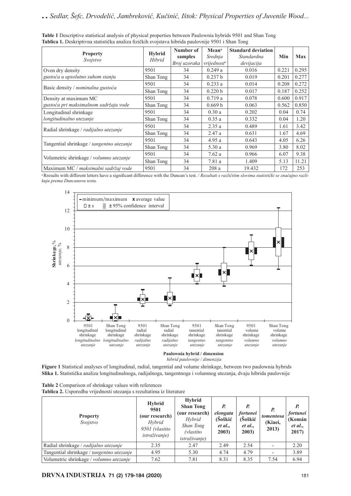|                                           | <b>Hybrid</b><br>Hibrid | Number of    | Mean <sup>a</sup>       | <b>Standard deviation</b> |       |            |
|-------------------------------------------|-------------------------|--------------|-------------------------|---------------------------|-------|------------|
| <b>Property</b><br>Svojstvo               |                         | samples      | Srednja                 | Standardna                | Min   | <b>Max</b> |
|                                           |                         | Broj uzoraka | vrijednost <sup>a</sup> | devijacija                |       |            |
| Oven dry density                          | 9501                    | 34           | 0.249a                  | 0.016                     | 0.221 | 0.295      |
| gustoća u apsolutno suhom stanju          | Shan Tong               | 34           | 0.237 b                 | 0.019                     | 0.201 | 0.277      |
| Basic density / nominalna gustoća         | 9501                    | 34           | 0.233a                  | 0.014                     | 0.208 | 0.272      |
|                                           | Shan Tong               | 34           | 0.220 b                 | 0.017                     | 0.187 | 0.252      |
| Density at maximum MC                     | 9501                    | 34           | 0.719a                  | 0.078                     | 0.600 | 0.917      |
| gustoća pri maksimalnom sadržaju vode     | Shan Tong               | 34           | 0.669 b                 | 0.063                     | 0.562 | 0.850      |
| Longitudinal shrinkage                    | 9501                    | 34           | 0.30a                   | 0.202                     | 0.04  | 0.74       |
| longitudinalno utezanje                   | Shan Tong               | 34           | 0.35a                   | 0.332                     | 0.04  | 1.20       |
| Radial shrinkage / radijalno utezanje     | 9501                    | 34           | 2.35a                   | 0.489                     | 1.61  | 3.42       |
|                                           | Shan Tong               | 34           | 2.47a                   | 0.631                     | 1.67  | 4.69       |
| Tangential shrinkage / tangentno utezanje | 9501                    | 34           | 4.95a                   | 0.643                     | 4.05  | 6.26       |
|                                           | Shan Tong               | 34           | 5.30a                   | 0.969                     | 3.80  | 8.02       |
|                                           | 9501                    | 34           | 7.62a                   | 0.966                     | 6.07  | 9.38       |
| Volumetric shrinkage / volumno utezanje   | Shan Tong               | 34           | 7.81a                   | 1.409                     | 5.13  | 11.21      |
| Maximum MC / maksimalni sadržaj vode      | 9501                    | 34           | 208a                    | 19.432                    | 172   | 253        |

**Table 1** Descriptive statistical analysis of physical properties between Paulownia hybrids 9501 and Shan Tong **Tablica 1.** Deskriptivna statistička analiza fizičkih svojstava hibrida paulovnije 9501 i Shan Tong

<sup>a</sup> Rresults with different letters have a significant difference with the Duncan's test. / *Rezultati s različitim slovima statistički se značajno razlikuju prema Duncanovu testu.*



**Paulownia hybrid / dimension**  *hibrid paulovnije / dimenzija*

**Figure 1** Statistical analyses of longitudinal, radial, tangential and volume shrinkage, between two paulownia hybrids **Slika 1.** Statistička analiza longitudinalnoga, radijalnoga, tangentnoga i volumnog utezanja, dvaju hibrida paulovnije

| <b>Table 2</b> Comparison of shrinkage values with references         |
|-----------------------------------------------------------------------|
| Tablica 2. Usporedba vrijednosti utezanja s rezultatima iz literature |

**Property** *Svojstvo* **Hybrid 9501 (our research)** *Hybrid 9501 (vlastito istraživanje)* **Hybrid Shan Tong (our research)** *Hybrid Shan Tong (vlastito istraživanje) P. elongata* **(Šoškić** *et al***., 2003)** *P. fortunei*  **(Šoškić** *et al***., 2003)** *P. tomentosa* **(Kiaei, 2013)** *P. fortunei* **(Komán**  *et al***., 2017)** Radial shrinkage / *radijalno utezanje* 2.35 2.47 2.49 2.54 - 2.20 Tangential shrinkage / *tangentno utezanje* | 4.95 | 5.30 | 4.74 | 4.79 | - | 3.89 Volumetric shrinkage / *volumno utezanje* 7.62 7.81 8.31 8.35 7.54 6.94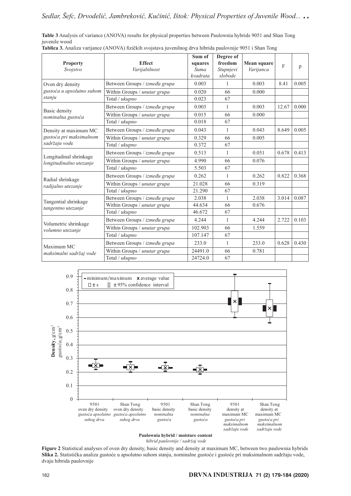**Table 3** Analysis of variance (ANOVA) results for physical properties between Paulownia hybrids 9051 and Shan Tong juvenile wood

|                                                                   |                               | Sum of   | Degree of |                                                                                                                                         |       |       |
|-------------------------------------------------------------------|-------------------------------|----------|-----------|-----------------------------------------------------------------------------------------------------------------------------------------|-------|-------|
| <b>Property</b>                                                   | <b>Effect</b>                 | squares  | freedom   | Mean square                                                                                                                             |       | p     |
| Svojstvo                                                          | Varijabilnost                 | Suma     | Stupnjevi |                                                                                                                                         |       |       |
|                                                                   |                               | kvadrata | slobode   |                                                                                                                                         |       |       |
| Oven dry density<br>gustoća u apsolutno suhom<br>stanju           | Between Groups / između grupa | 0.003    | 1         |                                                                                                                                         | 8.41  | 0.005 |
|                                                                   | Within Groups / unutar grupa  | 0.020    | 66        | 0.000                                                                                                                                   |       |       |
|                                                                   | Total / ukupno                | 0.023    | 67        |                                                                                                                                         |       |       |
| Basic density                                                     | Between Groups / između grupa | 0.003    | 1         | 0.003                                                                                                                                   | 12.67 | 0.000 |
| nominalna gustoća                                                 | Within Groups / unutar grupa  | 0.015    | 66        | 0.000                                                                                                                                   |       |       |
|                                                                   | Total / ukupno                | 0.018    | 67        | $\overline{F}$<br>Varijanca<br>0.003<br>0.043<br>0.005<br>0.051<br>0.076<br>0.262<br>0.319<br>2.038<br>0.676<br>4.244<br>1.559<br>233.0 |       |       |
| Density at maximum MC<br>gustoća pri maksimalnom<br>sadržaju vode | Between Groups / između grupa | 0.043    | 1         |                                                                                                                                         | 8.649 | 0.005 |
|                                                                   | Within Groups / unutar grupa  | 0.329    | 66        |                                                                                                                                         |       |       |
|                                                                   | Total / ukupno                | 0.372    | 67        |                                                                                                                                         |       |       |
| Longitudinal shrinkage<br>longitudinalno utezanje                 | Between Groups / između grupa | 0.513    | 1         |                                                                                                                                         | 0.678 | 0.413 |
|                                                                   | Within Groups / unutar grupa  | 4.990    | 66        |                                                                                                                                         |       |       |
|                                                                   | Total / ukupno                | 5.503    | 67        |                                                                                                                                         | 0.822 |       |
| Radial shrinkage                                                  | Between Groups / između grupa | 0.262    | 1         |                                                                                                                                         |       | 0.368 |
| radijalno utezanje                                                | Within Groups / unutar grupa  | 21.028   | 66        |                                                                                                                                         |       |       |
|                                                                   | Total / ukupno                | 21.290   | 67        |                                                                                                                                         |       |       |
| Tangential shrinkage<br>tangentno utezanje                        | Between Groups / između grupa | 2.038    | 1         |                                                                                                                                         | 3.014 | 0.087 |
|                                                                   | Within Groups / unutar grupa  | 44.634   | 66        |                                                                                                                                         |       |       |
|                                                                   | Total / ukupno                | 46.672   | 67        |                                                                                                                                         |       |       |
| Volumetric shrinkage                                              | Between Groups / između grupa | 4.244    | 1         |                                                                                                                                         | 2.722 | 0.103 |
| volumno utezanje                                                  | Within Groups / unutar grupa  | 102.903  | 66        |                                                                                                                                         |       |       |
|                                                                   | Total / ukupno                | 107.147  | 67        |                                                                                                                                         |       |       |
| Maximum MC<br>maksimalni sadržaj vode                             | Between Groups / između grupa | 233.0    | 1         |                                                                                                                                         | 0.628 | 0.430 |
|                                                                   | Within Groups / unutar grupa  | 24491.0  | 66        | 0.781                                                                                                                                   |       |       |
|                                                                   | Total / ukupno                | 24724.0  | 67        |                                                                                                                                         |       |       |

Tablica 3. Analiza varijance (ANOVA) fizičkih svojstava juvenilnog drva hibrida paulovnije 9051 i Shan Tong



**Paulownia hybrid / moisture content** 

*hibrid paulovnije / sadržaj vode* 

**Figure 2** Statistical analyses of oven dry density, basic density and density at maximum MC, between two paulownia hybrids **Slika 2.** Statistička analiza gustoće u apsolutno suhom stanju, nominalne gustoće i gustoće pri maksimalnom sadržaju vode, dvaju hibrida paulovnije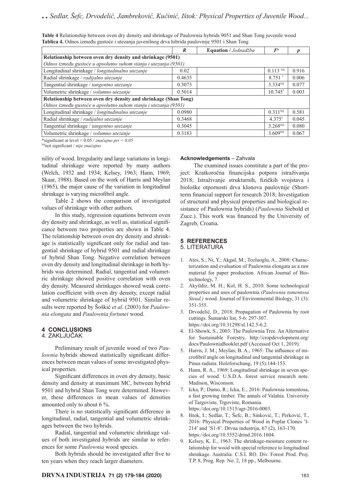| Table 4 Relationship between oven dry density and shrinkage of Paulownia hybrids 9051 and Shan Tong juvenile wood |  |
|-------------------------------------------------------------------------------------------------------------------|--|
| Tablica 4. Odnos između gustoće i utezanja juvenilnog drva hibrida paulovnije 9501 i Shan Tong                    |  |

|                                                                 | $\boldsymbol{R}$ | Equation / Jednadžba | F <sup>a</sup>      |       |  |  |
|-----------------------------------------------------------------|------------------|----------------------|---------------------|-------|--|--|
| Relationship between oven dry density and shrinkage (9501)      |                  |                      |                     |       |  |  |
| Odnos između gustoće u apsolutno suhom stanju i utezanja (9501) |                  |                      |                     |       |  |  |
| Longitudinal shrinkage / longitudinalno utezanje                | 0.02             |                      | $0.113$ NS          | 0.916 |  |  |
| Radial shrinkage / radijalno utezanje                           | 0.4635           |                      | 8.751 *             | 0.006 |  |  |
| Tangential shrinkage / tangentno utezanje                       | 0.3073           |                      | 3.334 <sup>NS</sup> | 0.077 |  |  |
| Volumetric shrinkage / volumno utezanje                         | 0.5014           |                      | $10.745*$           | 0.003 |  |  |
| Relationship between oven dry density and shrinkage (Shan Tong) |                  |                      |                     |       |  |  |
| Odnos između gustoće u apsolutno suhom stanju i utezanja (9501) |                  |                      |                     |       |  |  |
| Longitudinal shrinkage / longitudinalno utezanje                | 0.0980           |                      | $0.311^{NS}$        | 0.581 |  |  |
| Radial shrinkage / radijalno utezanje                           | 0.3468           |                      | 4.375*              | 0.045 |  |  |
| Tangential shrinkage / tangentno utezanje                       | 0.3045           |                      | 3.268 <sup>NS</sup> | 0.080 |  |  |
| Volumetric shrinkage / volumno utezanje                         | 0.3183           |                      | 3.609 <sup>NS</sup> | 0.067 |  |  |

\*signifi cant at level < 0.05 / *značajno pri < 0,05*

NSnot signifi cant / *nije značajno*

nility of wood. Irregularity and large variations in longitudinal shrinkage were reported by many authors (Welch, 1932 and 1934; Kelsey, 1963; Hann, 1969; Skaar, 1988). Based on the work of Harris and Meylan (1965), the major cause of the variation in longitudinal shrinkage is varying microfibril angle.

Table 2 shows the comparison of investigated values of shrinkage with other authors.

In this study, regression equations between oven dry density and shrinkage, as well as, statistical significance between two properties are shown in Table 4. The relationship between oven dry density and shrinkage is statistically significant only for radial and tangential shrinkage of hybrid 9501 and radial shrinkage of hybrid Shan Tong. Negative correlation between oven dry density and longitudinal shrinkage in both hybrids was determined. Radial, tangential and volumetric shrinkage showed positive correlation with oven dry density. Measured shrinkages showed weak correlation coefficient with oven dry density, except radial and volumetric shrinkage of hybrid 9501. Similar results were reported by Šoškić *et al*. (2003) for *Paulownia elongata* and *Paulownia fortunei* wood.

# **4 CONCLUSIONS**

## 4. ZAKLJUČAK

 Preliminary result of juvenile wood of two *Paulownia* hybrids showed statistically significant differences between mean values of some investigated physical properties.

Significant differences in oven dry density, basic density and density at maximum MC, between hybrid 9501 and hybrid Shan Tong were determined. However, these differences in mean values of densities amounted only to about 6 %.

There is no statistically significant difference in longitudinal, radial, tangential and volumetric shrinkages between the two hybrids.

Radial, tangential and volumetric shrinkage values of both investigated hybrids are similar to references for some *Paulownia* wood species.

Both hybrids should be investigated after five to ten years when they reach larger diameters.

#### **Acknowledgements** – Zahvala

The examined issues constitute a part of the project: Kratkoročna financijska potpora istraživanju 2018; Istraživanje strukturnih, fizičkih svojstava i biološke otpornosti drva klonova paulovnije (Shortterm financial support for research 2018; Investigation of structural and physical properties and biological resistance of Paulownia hybrids) (*Paulownia* Siebold et Zucc.). This work was financed by the University of Zagreb, Croatia.

#### **5 REFERENCES** 5. LITERATURA

- 1. Ates, S.; Ni, Y.; Akgul, M.; Tozluoglu, A., 2008: Characterization and evaluation of Paulownia elongata as a raw material for paper production. African Journal of Biotechnology, 7.
- 2. Akyildiz, M. H.; Kol, H. S., 2010: Some technological properties and uses of paulownia *(Paulownia tomentosa Steud.)* wood. Journal of Environmental Biology, 31 (3): 351-355.
- 3. Drvodelić, D., 2018: Propagation of Paulownia by root cuttings. Šumarski list, 5-6: 297-307. https://doi.org/10.31298/sl.142.5-6.2.
- 4. El-Showk, S., 2003: The Paulownia Tree. An Alternative for Sustainable Forestry, http://cropdevelopment.org/ docs/PaulowniaBooklet.pdf (Accessed Oct 1, 2019).
- 5. Harris, J. M.; Meylan, B. A., 1965: The influence of microfibril angle on longitudinal and tangential shrinkage in Pinus radiata. Holzforschung, 19 (5):144-153.
- 6. Hann, R. A., 1969: Longitudinal shrinkage in seven species of wood. U.S.D.A. forest service research note. Madison, Wisconson.
- 7. Icka, P.; Damo, R.; Icka, E., 2016: Paulownia tomentosa, a fast growing timber. The annals of Valahia. University of Targoviste, Trgoviste, Romania. https://doi.org/10.1515/agr-2016-0003.
- 8. Ištok, I.; Sedlar, T.; Šefc, B.; Sinković, T.; Perković, T., 2016: Physical Properties of Wood in Poplar Clones 'I-214' and 'S1-8'. Drvna industrija, 67 (2), 163-170. https://doi.org/10.5552/drind.2016.1604.
- Kelsey, K. E., 1963: The shrinkage-moisture content relationship for wood with special reference to longitudinal shrinkage. Australia. C.S.I. RO. Div. Forest Prod. Proj. T.P. 8, Prog. Rep. No. 2, 18 pp., Melbourne.